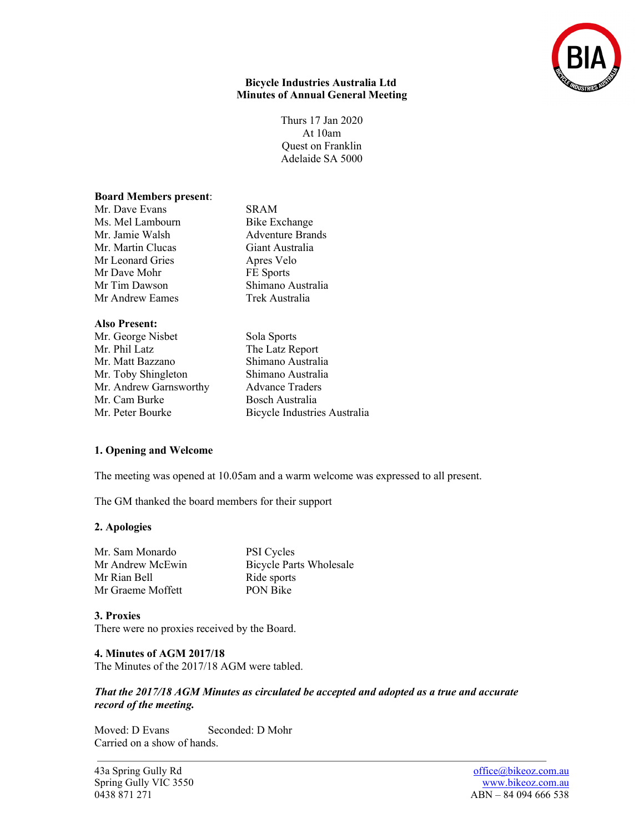

### **Bicycle Industries Australia Ltd Minutes of Annual General Meeting**

Thurs 17 Jan 2020 At 10am Quest on Franklin Adelaide SA 5000

#### **Board Members present**:

Mr. Dave Evans SRAM Ms. Mel Lambourn Bike Exchange Mr. Jamie Walsh Adventure Brands Mr. Martin Clucas<br>
Mr Leonard Gries
State Apres Velo Mr Leonard Gries Mr Dave Mohr FE Sports Mr Tim Dawson Shimano Australia Mr Andrew Eames Trek Australia

## **Also Present:**

- Mr. George Nisbet Sola Sports<br>
Mr. Phil Latz<br>
The Latz Re Mr. Matt Bazzano Shimano Australia Mr. Toby Shingleton Shimano Australia Mr. Andrew Garnsworthy Advance Traders Mr. Cam Burke Bosch Australia
- 
- The Latz Report Mr. Peter Bourke Bicycle Industries Australia

## **1. Opening and Welcome**

The meeting was opened at 10.05am and a warm welcome was expressed to all present.

The GM thanked the board members for their support

## **2. Apologies**

| <b>PSI</b> Cycles              |
|--------------------------------|
| <b>Bicycle Parts Wholesale</b> |
| Ride sports                    |
| <b>PON Bike</b>                |
|                                |

## **3. Proxies**

There were no proxies received by the Board.

# **4. Minutes of AGM 2017/18**

The Minutes of the 2017/18 AGM were tabled.

## *That the 2017/18 AGM Minutes as circulated be accepted and adopted as a true and accurate record of the meeting.*

Moved: D Evans Seconded: D Mohr Carried on a show of hands.